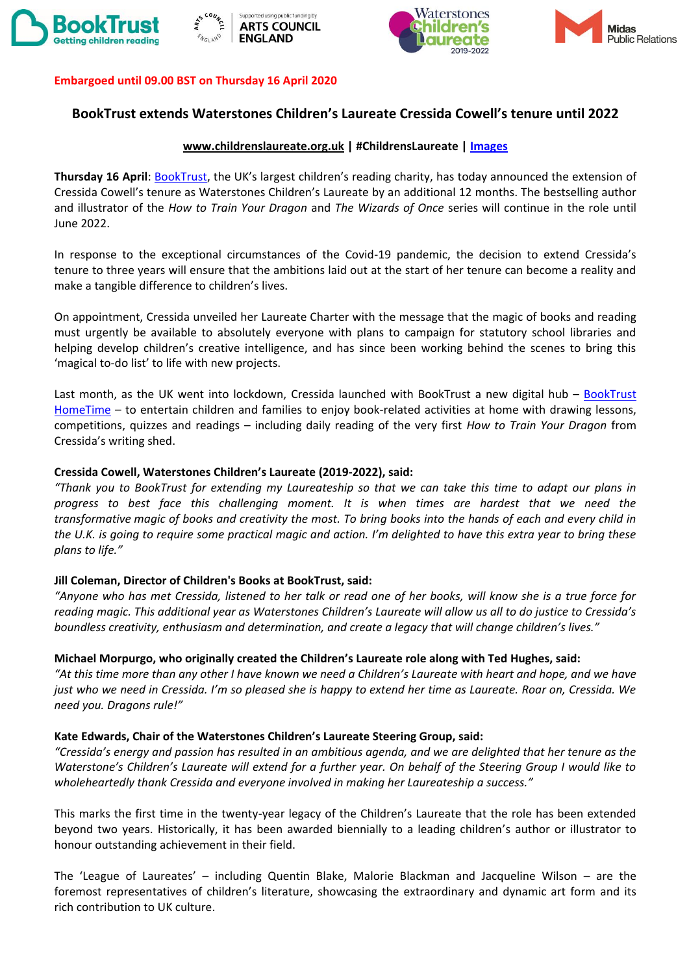







## **Embargoed until 09.00 BST on Thursday 16 April 2020**

# **BookTrust extends Waterstones Children's Laureate Cressida Cowell's tenure until 2022**

## **www.childrenslaureate.org.uk | #ChildrensLaureate | [Images](https://www.dropbox.com/sh/j5uz4khgsrngjaw/AAA6JI4rvbhcGiO9TNeSnjXMa?dl=0)**

**Thursday 16 April**: [BookTrust,](https://www.booktrust.org.uk/books-and-reading/have-some-fun/) the UK's largest children's reading charity, has today announced the extension of Cressida Cowell's tenure as Waterstones Children's Laureate by an additional 12 months. The bestselling author and illustrator of the *How to Train Your Dragon* and *The Wizards of Once* series will continue in the role until June 2022.

In response to the exceptional circumstances of the Covid-19 pandemic, the decision to extend Cressida's tenure to three years will ensure that the ambitions laid out at the start of her tenure can become a reality and make a tangible difference to children's lives.

On appointment, Cressida unveiled her Laureate Charter with the message that the magic of books and reading must urgently be available to absolutely everyone with plans to campaign for statutory school libraries and helping develop children's creative intelligence, and has since been working behind the scenes to bring this 'magical to-do list' to life with new projects.

Last month, as the UK went into lockdown, Cressida launched with BookTrust a new digital hub – [BookTrust](http://www.booktrus.org.uk/hometime)  [HomeTime](http://www.booktrus.org.uk/hometime) – to entertain children and families to enjoy book-related activities at home with drawing lessons, competitions, quizzes and readings – including daily reading of the very first *How to Train Your Dragon* from Cressida's writing shed.

## **Cressida Cowell, Waterstones Children's Laureate (2019-2022), said:**

*"Thank you to BookTrust for extending my Laureateship so that we can take this time to adapt our plans in progress to best face this challenging moment. It is when times are hardest that we need the transformative magic of books and creativity the most. To bring books into the hands of each and every child in the U.K. is going to require some practical magic and action. I'm delighted to have this extra year to bring these plans to life."*

# **Jill Coleman, Director of Children's Books at BookTrust, said:**

*"Anyone who has met Cressida, listened to her talk or read one of her books, will know she is a true force for reading magic. This additional year as Waterstones Children's Laureate will allow us all to do justice to Cressida's boundless creativity, enthusiasm and determination, and create a legacy that will change children's lives."* 

# **Michael Morpurgo, who originally created the Children's Laureate role along with Ted Hughes, said:**

*"At this time more than any other I have known we need a Children's Laureate with heart and hope, and we have just who we need in Cressida. I'm so pleased she is happy to extend her time as Laureate. Roar on, Cressida. We need you. Dragons rule!"*

#### **Kate Edwards, Chair of the Waterstones Children's Laureate Steering Group, said:**

*"Cressida's energy and passion has resulted in an ambitious agenda, and we are delighted that her tenure as the Waterstone's Children's Laureate will extend for a further year. On behalf of the Steering Group I would like to wholeheartedly thank Cressida and everyone involved in making her Laureateship a success."*

This marks the first time in the twenty-year legacy of the Children's Laureate that the role has been extended beyond two years. Historically, it has been awarded biennially to a leading children's author or illustrator to honour outstanding achievement in their field.

The 'League of Laureates' – including Quentin Blake, Malorie Blackman and Jacqueline Wilson – are the foremost representatives of children's literature, showcasing the extraordinary and dynamic art form and its rich contribution to UK culture.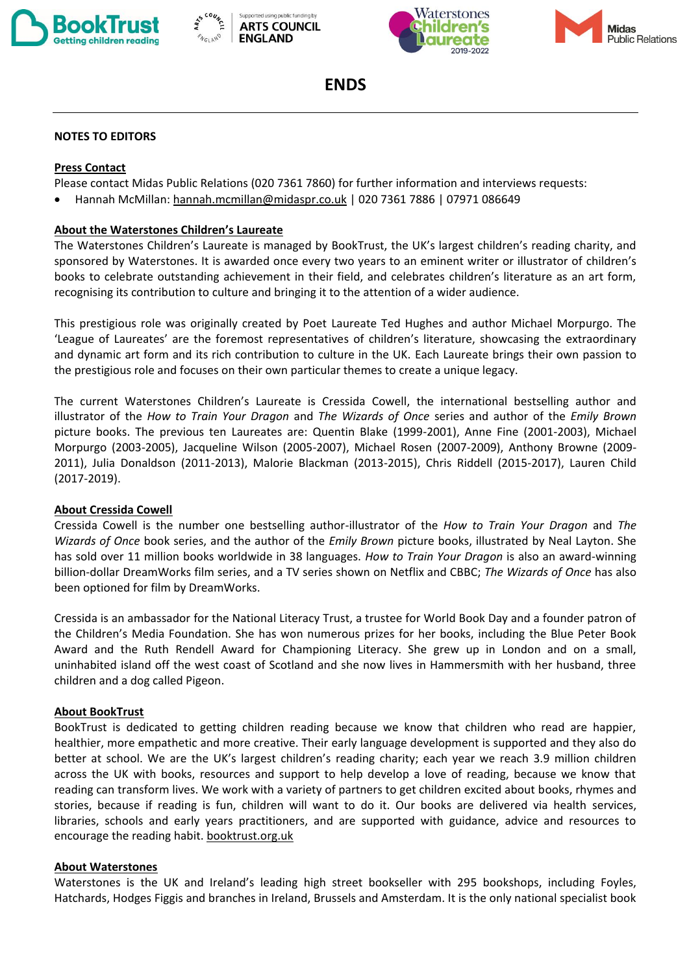







**ENDS**

## **NOTES TO EDITORS**

## **Press Contact**

Please contact Midas Public Relations (020 7361 7860) for further information and interviews requests:

• Hannah McMillan[: hannah.mcmillan@midaspr.co.uk](mailto:hannah.mcmillan@midaspr.co.uk) | 020 7361 7886 | 07971 086649

## **About the Waterstones Children's Laureate**

The Waterstones Children's Laureate is managed by BookTrust, the UK's largest children's reading charity, and sponsored by Waterstones. It is awarded once every two years to an eminent writer or illustrator of children's books to celebrate outstanding achievement in their field, and celebrates children's literature as an art form, recognising its contribution to culture and bringing it to the attention of a wider audience.

This prestigious role was originally created by Poet Laureate Ted Hughes and author Michael Morpurgo. The 'League of Laureates' are the foremost representatives of children's literature, showcasing the extraordinary and dynamic art form and its rich contribution to culture in the UK. Each Laureate brings their own passion to the prestigious role and focuses on their own particular themes to create a unique legacy.

The current Waterstones Children's Laureate is Cressida Cowell, the international bestselling author and illustrator of the *How to Train Your Dragon* and *The Wizards of Once* series and author of the *Emily Brown* picture books. The previous ten Laureates are: Quentin Blake (1999-2001), Anne Fine (2001-2003), Michael Morpurgo (2003-2005), Jacqueline Wilson (2005-2007), Michael Rosen (2007-2009), Anthony Browne (2009- 2011), Julia Donaldson (2011-2013), Malorie Blackman (2013-2015), Chris Riddell (2015-2017), Lauren Child (2017-2019).

#### **About Cressida Cowell**

Cressida Cowell is the number one bestselling author-illustrator of the *How to Train Your Dragon* and *The Wizards of Once* book series, and the author of the *Emily Brown* picture books, illustrated by Neal Layton. She has sold over 11 million books worldwide in 38 languages. *How to Train Your Dragon* is also an award-winning billion-dollar DreamWorks film series, and a TV series shown on Netflix and CBBC; *The Wizards of Once* has also been optioned for film by DreamWorks.

Cressida is an ambassador for the National Literacy Trust, a trustee for World Book Day and a founder patron of the Children's Media Foundation. She has won numerous prizes for her books, including the Blue Peter Book Award and the Ruth Rendell Award for Championing Literacy. She grew up in London and on a small, uninhabited island off the west coast of Scotland and she now lives in Hammersmith with her husband, three children and a dog called Pigeon.

#### **About BookTrust**

BookTrust is dedicated to getting children reading because we know that children who read are happier, healthier, more empathetic and more creative. Their early language development is supported and they also do better at school. We are the UK's largest children's reading charity; each year we reach 3.9 million children across the UK with books, resources and support to help develop a love of reading, because we know that reading can transform lives. We work with a variety of partners to get children excited about books, rhymes and stories, because if reading is fun, children will want to do it. Our books are delivered via health services, libraries, schools and early years practitioners, and are supported with guidance, advice and resources to encourage the reading habit[. booktrust.org.uk](http://www.booktrust.org.uk/)

#### **About Waterstones**

Waterstones is the UK and Ireland's leading high street bookseller with 295 bookshops, including Foyles, Hatchards, Hodges Figgis and branches in Ireland, Brussels and Amsterdam. It is the only national specialist book